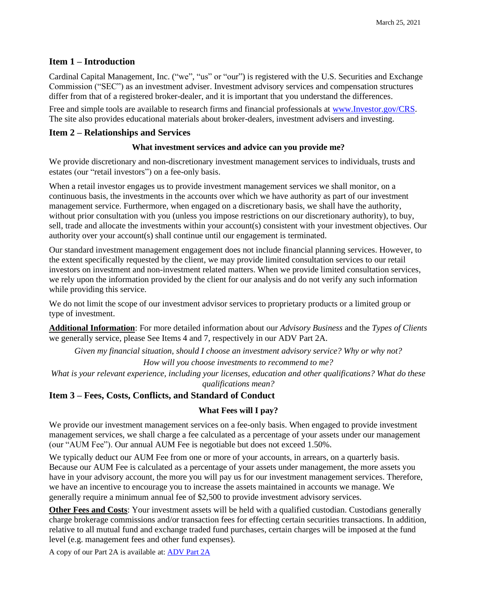# **Item 1 – Introduction**

Cardinal Capital Management, Inc. ("we", "us" or "our") is registered with the U.S. Securities and Exchange Commission ("SEC") as an investment adviser. Investment advisory services and compensation structures differ from that of a registered broker-dealer, and it is important that you understand the differences.

Free and simple tools are available to research firms and financial professionals at [www.Investor.gov/CRS.](http://www.investor.gov/CRS) The site also provides educational materials about broker-dealers, investment advisers and investing.

# **Item 2 – Relationships and Services**

### **What investment services and advice can you provide me?**

We provide discretionary and non-discretionary investment management services to individuals, trusts and estates (our "retail investors") on a fee-only basis.

When a retail investor engages us to provide investment management services we shall monitor, on a continuous basis, the investments in the accounts over which we have authority as part of our investment management service. Furthermore, when engaged on a discretionary basis, we shall have the authority, without prior consultation with you (unless you impose restrictions on our discretionary authority), to buy, sell, trade and allocate the investments within your account(s) consistent with your investment objectives. Our authority over your account(s) shall continue until our engagement is terminated.

Our standard investment management engagement does not include financial planning services. However, to the extent specifically requested by the client, we may provide limited consultation services to our retail investors on investment and non-investment related matters. When we provide limited consultation services, we rely upon the information provided by the client for our analysis and do not verify any such information while providing this service.

We do not limit the scope of our investment advisor services to proprietary products or a limited group or type of investment.

**Additional Information**: For more detailed information about our *Advisory Business* and the *Types of Clients* we generally service, please See Items 4 and 7, respectively in our ADV Part 2A.

*Given my financial situation, should I choose an investment advisory service? Why or why not?*

*How will you choose investments to recommend to me?*

*What is your relevant experience, including your licenses, education and other qualifications? What do these qualifications mean?*

# **Item 3 – Fees, Costs, Conflicts, and Standard of Conduct**

# **What Fees will I pay?**

We provide our investment management services on a fee-only basis. When engaged to provide investment management services, we shall charge a fee calculated as a percentage of your assets under our management (our "AUM Fee"). Our annual AUM Fee is negotiable but does not exceed 1.50%.

We typically deduct our AUM Fee from one or more of your accounts, in arrears, on a quarterly basis. Because our AUM Fee is calculated as a percentage of your assets under management, the more assets you have in your advisory account, the more you will pay us for our investment management services. Therefore, we have an incentive to encourage you to increase the assets maintained in accounts we manage. We generally require a minimum annual fee of \$2,500 to provide investment advisory services.

**Other Fees and Costs**: Your investment assets will be held with a qualified custodian. Custodians generally charge brokerage commissions and/or transaction fees for effecting certain securities transactions. In addition, relative to all mutual fund and exchange traded fund purchases, certain charges will be imposed at the fund level (e.g. management fees and other fund expenses).

A copy of our Part 2A is available at: [ADV Part 2A](https://files.adviserinfo.sec.gov/IAPD/Content/Common/crd_iapd_Brochure.aspx?BRCHR_VRSN_ID=763818)